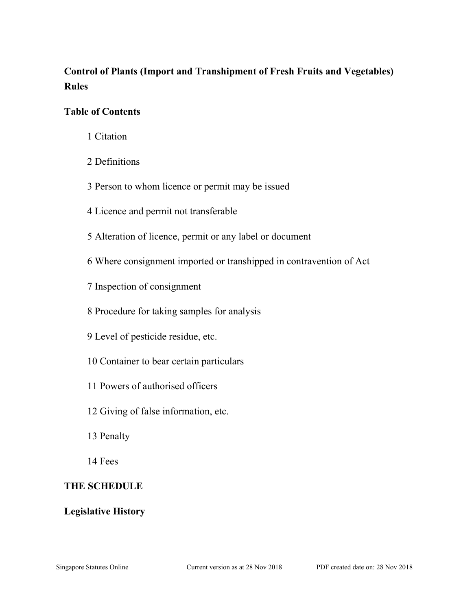# **Control of Plants (Import and Transhipment of Fresh Fruits and Vegetables) Rules**

### **Table of Contents**

- 1 Citation
- 2 Definitions
- 3 Person to whom licence or permit may be issued
- 4 Licence and permit not transferable
- 5 Alteration of licence, permit or any label or document
- 6 Where consignment imported or transhipped in contravention of Act
- 7 Inspection of consignment
- 8 Procedure for taking samples for analysis
- 9 Level of pesticide residue, etc.
- 10 Container to bear certain particulars
- 11 Powers of authorised officers
- 12 Giving of false information, etc.
- 13 Penalty
- 14 Fees

## **THE SCHEDULE**

## **Legislative History**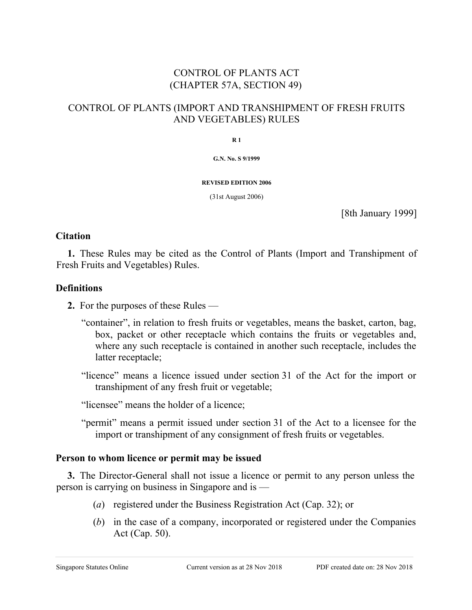## CONTROL OF PLANTS ACT (CHAPTER 57A, SECTION 49)

### CONTROL OF PLANTS (IMPORT AND TRANSHIPMENT OF FRESH FRUITS AND VEGETABLES) RULES

**R 1**

**G.N. No. S 9/1999**

**REVISED EDITION 2006**

(31st August 2006)

[8th January 1999]

#### **Citation**

**1.** These Rules may be cited as the Control of Plants (Import and Transhipment of Fresh Fruits and Vegetables) Rules.

#### **Definitions**

- **2.** For the purposes of these Rules
	- "container", in relation to fresh fruits or vegetables, means the basket, carton, bag, box, packet or other receptacle which contains the fruits or vegetables and, where any such receptacle is contained in another such receptacle, includes the latter receptacle;
	- "licence" means a licence issued under section 31 of the Act for the import or transhipment of any fresh fruit or vegetable;

"licensee" means the holder of a licence;

"permit" means a permit issued under section 31 of the Act to a licensee for the import or transhipment of any consignment of fresh fruits or vegetables.

#### **Person to whom licence or permit may be issued**

**3.** The Director-General shall not issue a licence or permit to any person unless the person is carrying on business in Singapore and is —

- (*a*) registered under the Business Registration Act (Cap. 32); or
- (*b*) in the case of a company, incorporated or registered under the Companies Act (Cap. 50).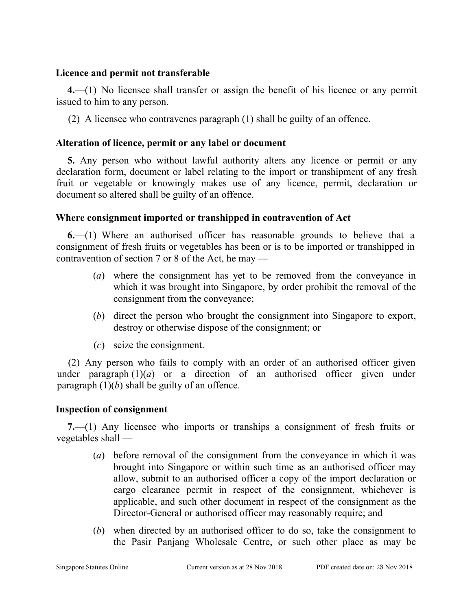#### **Licence and permit not transferable**

**4.**—(1) No licensee shall transfer or assign the benefit of his licence or any permit issued to him to any person.

(2) A licensee who contravenes paragraph (1) shall be guilty of an offence.

### **Alteration of licence, permit or any label or document**

**5.** Any person who without lawful authority alters any licence or permit or any declaration form, document or label relating to the import or transhipment of any fresh fruit or vegetable or knowingly makes use of any licence, permit, declaration or document so altered shall be guilty of an offence.

### **Where consignment imported or transhipped in contravention of Act**

**6.**—(1) Where an authorised officer has reasonable grounds to believe that a consignment of fresh fruits or vegetables has been or is to be imported or transhipped in contravention of section 7 or 8 of the Act, he may —

- (*a*) where the consignment has yet to be removed from the conveyance in which it was brought into Singapore, by order prohibit the removal of the consignment from the conveyance;
- (*b*) direct the person who brought the consignment into Singapore to export, destroy or otherwise dispose of the consignment; or
- (*c*) seize the consignment.

(2) Any person who fails to comply with an order of an authorised officer given under paragraph  $(1)(a)$  or a direction of an authorised officer given under paragraph (1)(*b*) shall be guilty of an offence.

### **Inspection of consignment**

**7.**—(1) Any licensee who imports or tranships a consignment of fresh fruits or vegetables shall —

- (*a*) before removal of the consignment from the conveyance in which it was brought into Singapore or within such time as an authorised officer may allow, submit to an authorised officer a copy of the import declaration or cargo clearance permit in respect of the consignment, whichever is applicable, and such other document in respect of the consignment as the Director-General or authorised officer may reasonably require; and
- (*b*) when directed by an authorised officer to do so, take the consignment to the Pasir Panjang Wholesale Centre, or such other place as may be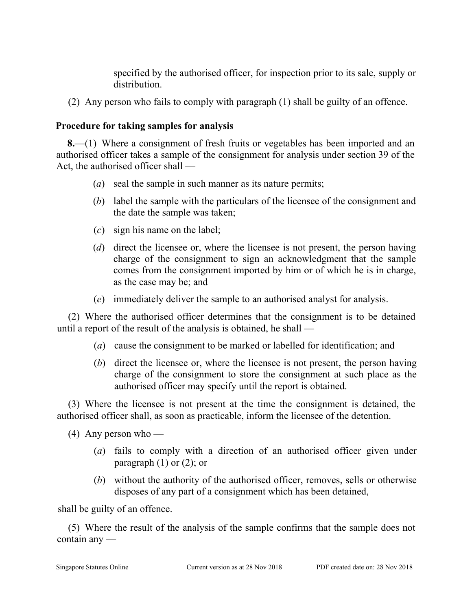specified by the authorised officer, for inspection prior to its sale, supply or distribution.

(2) Any person who fails to comply with paragraph (1) shall be guilty of an offence.

### **Procedure for taking samples for analysis**

**8.**—(1) Where a consignment of fresh fruits or vegetables has been imported and an authorised officer takes a sample of the consignment for analysis under section 39 of the Act, the authorised officer shall —

- (*a*) seal the sample in such manner as its nature permits;
- (*b*) label the sample with the particulars of the licensee of the consignment and the date the sample was taken;
- (*c*) sign his name on the label;
- (*d*) direct the licensee or, where the licensee is not present, the person having charge of the consignment to sign an acknowledgment that the sample comes from the consignment imported by him or of which he is in charge, as the case may be; and
- (*e*) immediately deliver the sample to an authorised analyst for analysis.

(2) Where the authorised officer determines that the consignment is to be detained until a report of the result of the analysis is obtained, he shall —

- (*a*) cause the consignment to be marked or labelled for identification; and
- (*b*) direct the licensee or, where the licensee is not present, the person having charge of the consignment to store the consignment at such place as the authorised officer may specify until the report is obtained.

(3) Where the licensee is not present at the time the consignment is detained, the authorised officer shall, as soon as practicable, inform the licensee of the detention.

(4) Any person who —

- (*a*) fails to comply with a direction of an authorised officer given under paragraph  $(1)$  or  $(2)$ ; or
- (*b*) without the authority of the authorised officer, removes, sells or otherwise disposes of any part of a consignment which has been detained,

shall be guilty of an offence.

(5) Where the result of the analysis of the sample confirms that the sample does not contain any —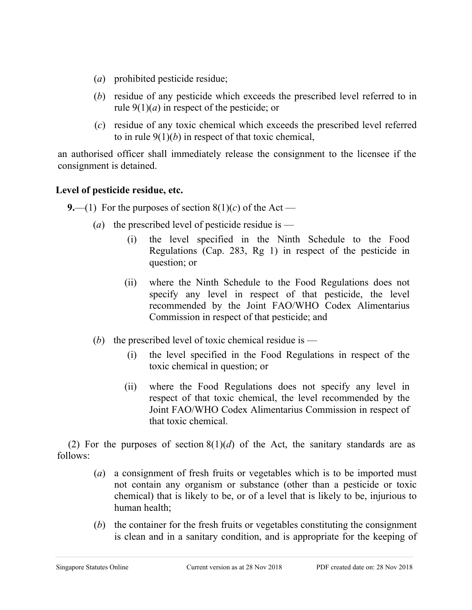- (*a*) prohibited pesticide residue;
- (*b*) residue of any pesticide which exceeds the prescribed level referred to in rule  $9(1)(a)$  in respect of the pesticide; or
- (*c*) residue of any toxic chemical which exceeds the prescribed level referred to in rule 9(1)(*b*) in respect of that toxic chemical,

an authorised officer shall immediately release the consignment to the licensee if the consignment is detained.

## **Level of pesticide residue, etc.**

**9.**—(1) For the purposes of section  $8(1)(c)$  of the Act —

- (*a*) the prescribed level of pesticide residue is
	- (i) the level specified in the Ninth Schedule to the Food Regulations (Cap. 283, Rg 1) in respect of the pesticide in question; or
	- (ii) where the Ninth Schedule to the Food Regulations does not specify any level in respect of that pesticide, the level recommended by the Joint FAO/WHO Codex Alimentarius Commission in respect of that pesticide; and
- (*b*) the prescribed level of toxic chemical residue is
	- (i) the level specified in the Food Regulations in respect of the toxic chemical in question; or
	- (ii) where the Food Regulations does not specify any level in respect of that toxic chemical, the level recommended by the Joint FAO/WHO Codex Alimentarius Commission in respect of that toxic chemical.

(2) For the purposes of section  $8(1)(d)$  of the Act, the sanitary standards are as follows:

- (*a*) a consignment of fresh fruits or vegetables which is to be imported must not contain any organism or substance (other than a pesticide or toxic chemical) that is likely to be, or of a level that is likely to be, injurious to human health;
- (*b*) the container for the fresh fruits or vegetables constituting the consignment is clean and in a sanitary condition, and is appropriate for the keeping of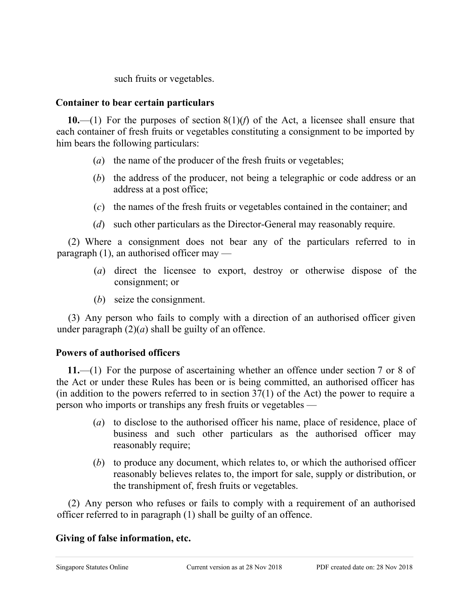such fruits or vegetables.

### **Container to bear certain particulars**

**10.**—(1) For the purposes of section 8(1)(*f*) of the Act, a licensee shall ensure that each container of fresh fruits or vegetables constituting a consignment to be imported by him bears the following particulars:

- (*a*) the name of the producer of the fresh fruits or vegetables;
- (*b*) the address of the producer, not being a telegraphic or code address or an address at a post office;
- (*c*) the names of the fresh fruits or vegetables contained in the container; and
- (*d*) such other particulars as the Director-General may reasonably require.

(2) Where a consignment does not bear any of the particulars referred to in paragraph (1), an authorised officer may —

- (*a*) direct the licensee to export, destroy or otherwise dispose of the consignment; or
- (*b*) seize the consignment.

(3) Any person who fails to comply with a direction of an authorised officer given under paragraph  $(2)(a)$  shall be guilty of an offence.

## **Powers of authorised officers**

**11.**—(1) For the purpose of ascertaining whether an offence under section 7 or 8 of the Act or under these Rules has been or is being committed, an authorised officer has (in addition to the powers referred to in section 37(1) of the Act) the power to require a person who imports or tranships any fresh fruits or vegetables —

- (*a*) to disclose to the authorised officer his name, place of residence, place of business and such other particulars as the authorised officer may reasonably require;
- (*b*) to produce any document, which relates to, or which the authorised officer reasonably believes relates to, the import for sale, supply or distribution, or the transhipment of, fresh fruits or vegetables.

(2) Any person who refuses or fails to comply with a requirement of an authorised officer referred to in paragraph (1) shall be guilty of an offence.

## **Giving of false information, etc.**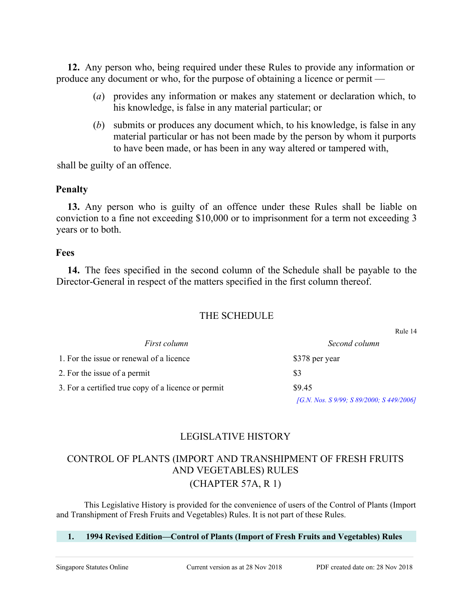**12.** Any person who, being required under these Rules to provide any information or produce any document or who, for the purpose of obtaining a licence or permit —

- (*a*) provides any information or makes any statement or declaration which, to his knowledge, is false in any material particular; or
- (*b*) submits or produces any document which, to his knowledge, is false in any material particular or has not been made by the person by whom it purports to have been made, or has been in any way altered or tampered with,

shall be guilty of an offence.

#### **Penalty**

**13.** Any person who is guilty of an offence under these Rules shall be liable on conviction to a fine not exceeding \$10,000 or to imprisonment for a term not exceeding 3 years or to both.

#### **Fees**

**14.** The fees specified in the second column of the Schedule shall be payable to the Director-General in respect of the matters specified in the first column thereof.

### THE SCHEDULE

*First column Second column* 1. For the issue or renewal of a licence \$378 per year 2. For the issue of a permit  $$3$ 3. For a certified true copy of a licence or permit \$9.45

*[G.N. Nos. S 9/99; S 89/2000; S 449/2006]*

Rule 14

## LEGISLATIVE HISTORY

## CONTROL OF PLANTS (IMPORT AND TRANSHIPMENT OF FRESH FRUITS AND VEGETABLES) RULES (CHAPTER 57A, R 1)

This Legislative History is provided for the convenience of users of the Control of Plants (Import and Transhipment of Fresh Fruits and Vegetables) Rules. It is not part of these Rules.

#### **1. 1994 Revised Edition—Control of Plants (Import of Fresh Fruits and Vegetables) Rules**